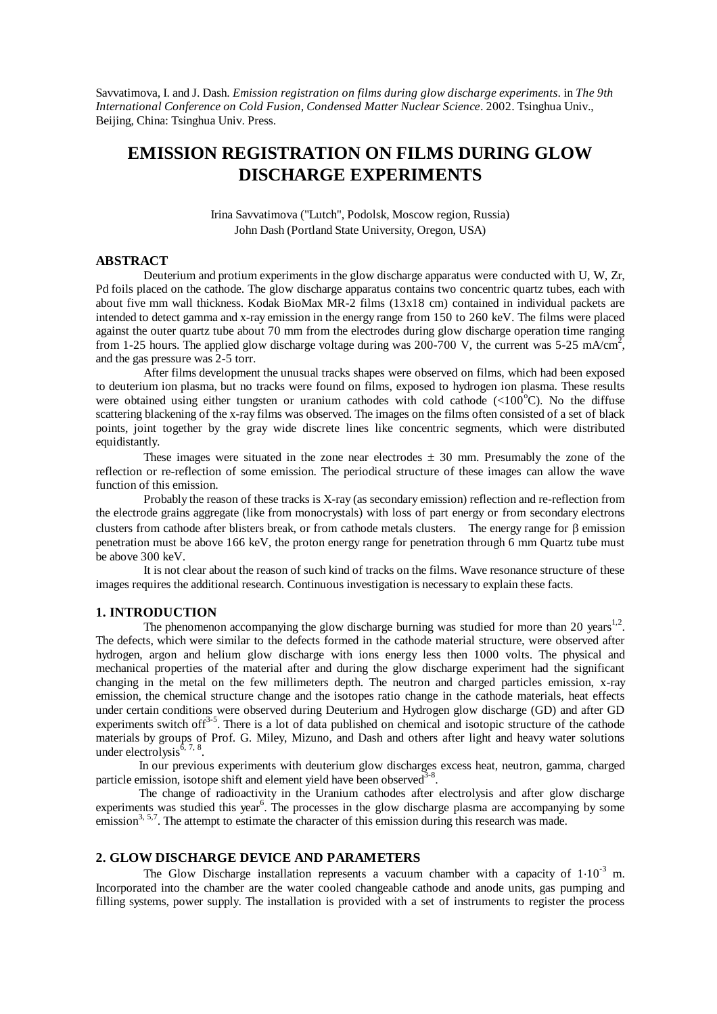Savvatimova, I. and J. Dash. *Emission registration on films during glow discharge experiments*. in *The 9th International Conference on Cold Fusion, Condensed Matter Nuclear Science*. 2002. Tsinghua Univ., Beijing, China: Tsinghua Univ. Press.

# **EMISSION REGISTRATION ON FILMS DURING GLOW DISCHARGE EXPERIMENTS**

Irina Savvatimova ("Lutch", Podolsk, Moscow region, Russia) John Dash (Portland State University, Oregon, USA)

## **ABSTRACT**

Deuterium and protium experiments in the glow discharge apparatus were conducted with U, W, Zr, Pd foils placed on the cathode. The glow discharge apparatus contains two concentric quartz tubes, each with about five mm wall thickness. Kodak BioMax MR-2 films (13x18 cm) contained in individual packets are intended to detect gamma and x-ray emission in the energy range from 150 to 260 keV. The films were placed against the outer quartz tube about 70 mm from the electrodes during glow discharge operation time ranging from 1-25 hours. The applied glow discharge voltage during was 200-700 V, the current was 5-25 mA/cm<sup>2</sup>, and the gas pressure was 2-5 torr.

After films development the unusual tracks shapes were observed on films, which had been exposed to deuterium ion plasma, but no tracks were found on films, exposed to hydrogen ion plasma. These results were obtained using either tungsten or uranium cathodes with cold cathode  $\langle\langle100^{\circ}\text{C}\rangle$ . No the diffuse scattering blackening of the x-ray films was observed. The images on the films often consisted of a set of black points, joint together by the gray wide discrete lines like concentric segments, which were distributed equidistantly.

These images were situated in the zone near electrodes  $\pm$  30 mm. Presumably the zone of the reflection or re-reflection of some emission. The periodical structure of these images can allow the wave function of this emission.

Probably the reason of these tracks is X-ray (as secondary emission) reflection and re-reflection from the electrode grains aggregate (like from monocrystals) with loss of part energy or from secondary electrons clusters from cathode after blisters break, or from cathode metals clusters. The energy range for  $\beta$  emission penetration must be above 166 keV, the proton energy range for penetration through 6 mm Quartz tube must be above 300 keV.

It is not clear about the reason of such kind of tracks on the films. Wave resonance structure of these images requires the additional research. Continuous investigation is necessary to explain these facts.

# **1. INTRODUCTION**

The phenomenon accompanying the glow discharge burning was studied for more than 20 years<sup>1,2</sup>. The defects, which were similar to the defects formed in the cathode material structure, were observed after hydrogen, argon and helium glow discharge with ions energy less then 1000 volts. The physical and mechanical properties of the material after and during the glow discharge experiment had the significant changing in the metal on the few millimeters depth. The neutron and charged particles emission, x-ray emission, the chemical structure change and the isotopes ratio change in the cathode materials, heat effects under certain conditions were observed during Deuterium and Hydrogen glow discharge (GD) and after GD experiments switch of  $f^{3-5}$ . There is a lot of data published on chemical and isotopic structure of the cathode materials by groups of Prof. G. Miley, Mizuno, and Dash and others after light and heavy water solutions under electrolysis $^{6, 7, 8}$ .

In our previous experiments with deuterium glow discharges excess heat, neutron, gamma, charged particle emission, isotope shift and element yield have been observed  $3-8$ .

The change of radioactivity in the Uranium cathodes after electrolysis and after glow discharge experiments was studied this year<sup>6</sup>. The processes in the glow discharge plasma are accompanying by some emission<sup>3, 5,7</sup>. The attempt to estimate the character of this emission during this research was made.

#### **2. GLOW DISCHARGE DEVICE AND PARAMETERS**

The Glow Discharge installation represents a vacuum chamber with a capacity of  $1.10^{-3}$  m. Incorporated into the chamber are the water cooled changeable cathode and anode units, gas pumping and filling systems, power supply. The installation is provided with a set of instruments to register the process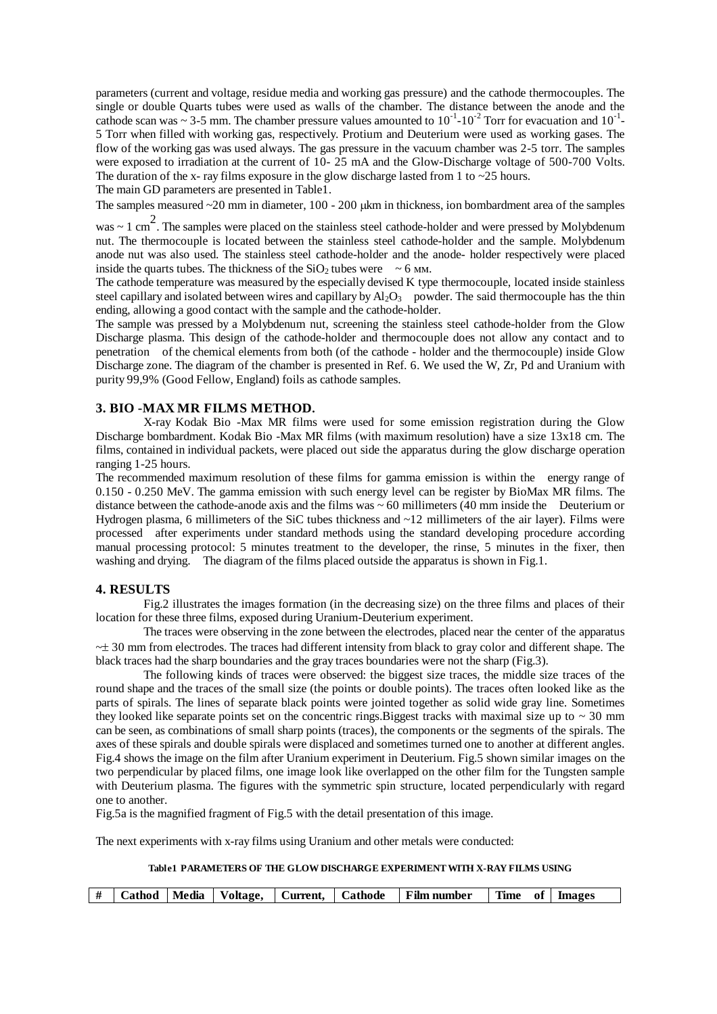parameters (current and voltage, residue media and working gas pressure) and the cathode thermocouples. The single or double Quarts tubes were used as walls of the chamber. The distance between the anode and the cathode scan was  $\sim$  3-5 mm. The chamber pressure values amounted to 10<sup>-1</sup>-10<sup>-2</sup> Torr for evacuation and 10<sup>-1</sup>-5 Torr when filled with working gas, respectively. Protium and Deuterium were used as working gases. The flow of the working gas was used always. The gas pressure in the vacuum chamber was 2-5 torr. The samples were exposed to irradiation at the current of 10- 25 mA and the Glow-Discharge voltage of 500-700 Volts. The duration of the x- ray films exposure in the glow discharge lasted from 1 to  $\sim$ 25 hours.

The main GD parameters are presented in Table1.

The samples measured  $\sim$  20 mm in diameter, 100 - 200 ukm in thickness, ion bombardment area of the samples

was  $\sim$  1 cm<sup>2</sup>. The samples were placed on the stainless steel cathode-holder and were pressed by Molybdenum nut. The thermocouple is located between the stainless steel cathode-holder and the sample. Molybdenum anode nut was also used. The stainless steel cathode-holder and the anode- holder respectively were placed inside the quarts tubes. The thickness of the  $SiO_2$  tubes were ~ 6 мм.

The cathode temperature was measured by the especially devised K type thermocouple, located inside stainless steel capillary and isolated between wires and capillary by  $Al_2O_3$  powder. The said thermocouple has the thin ending, allowing a good contact with the sample and the cathode-holder.

The sample was pressed by a Molybdenum nut, screening the stainless steel cathode-holder from the Glow Discharge plasma. This design of the cathode-holder and thermocouple does not allow any contact and to penetration of the chemical elements from both (of the cathode - holder and the thermocouple) inside Glow Discharge zone. The diagram of the chamber is presented in Ref. 6. We used the W, Zr, Pd and Uranium with purity 99,9% (Good Fellow, England) foils as cathode samples.

#### **3. BIO -MAX MR FILMS METHOD.**

X-ray Kodak Bio -Max MR films were used for some emission registration during the Glow Discharge bombardment. Kodak Bio -Max MR films (with maximum resolution) have a size 13x18 cm. The films, contained in individual packets, were placed out side the apparatus during the glow discharge operation ranging 1-25 hours.

The recommended maximum resolution of these films for gamma emission is within the energy range of 0.150 - 0.250 MeV. The gamma emission with such energy level can be register by BioMax MR films. The distance between the cathode-anode axis and the films was  $\sim 60$  millimeters (40 mm inside the Deuterium or Hydrogen plasma, 6 millimeters of the SiC tubes thickness and ~12 millimeters of the air layer). Films were processed after experiments under standard methods using the standard developing procedure according manual processing protocol: 5 minutes treatment to the developer, the rinse, 5 minutes in the fixer, then washing and drying. The diagram of the films placed outside the apparatus is shown in Fig.1.

#### **4. RESULTS**

Fig.2 illustrates the images formation (in the decreasing size) on the three films and places of their location for these three films, exposed during Uranium-Deuterium experiment.

The traces were observing in the zone between the electrodes, placed near the center of the apparatus  $\sim\pm$  30 mm from electrodes. The traces had different intensity from black to gray color and different shape. The black traces had the sharp boundaries and the gray traces boundaries were not the sharp (Fig.3).

The following kinds of traces were observed: the biggest size traces, the middle size traces of the round shape and the traces of the small size (the points or double points). The traces often looked like as the parts of spirals. The lines of separate black points were jointed together as solid wide gray line. Sometimes they looked like separate points set on the concentric rings. Biggest tracks with maximal size up to  $\sim$  30 mm can be seen, as combinations of small sharp points (traces), the components or the segments of the spirals. The axes of these spirals and double spirals were displaced and sometimes turned one to another at different angles. Fig.4 shows the image on the film after Uranium experiment in Deuterium. Fig.5 shown similar images on the two perpendicular by placed films, one image look like overlapped on the other film for the Tungsten sample with Deuterium plasma. The figures with the symmetric spin structure, located perpendicularly with regard one to another.

Fig.5a is the magnified fragment of Fig.5 with the detail presentation of this image.

The next experiments with x-ray films using Uranium and other metals were conducted:

#### **Table1 PARAMETERS OF THE GLOW DISCHARGE EXPERIMENTWITH X-RAY FILMS USING**

|  |  |  | #   Cathod   Media   Voltage,   Current,   Cathode   Film number | Time of Images |  |
|--|--|--|------------------------------------------------------------------|----------------|--|
|  |  |  |                                                                  |                |  |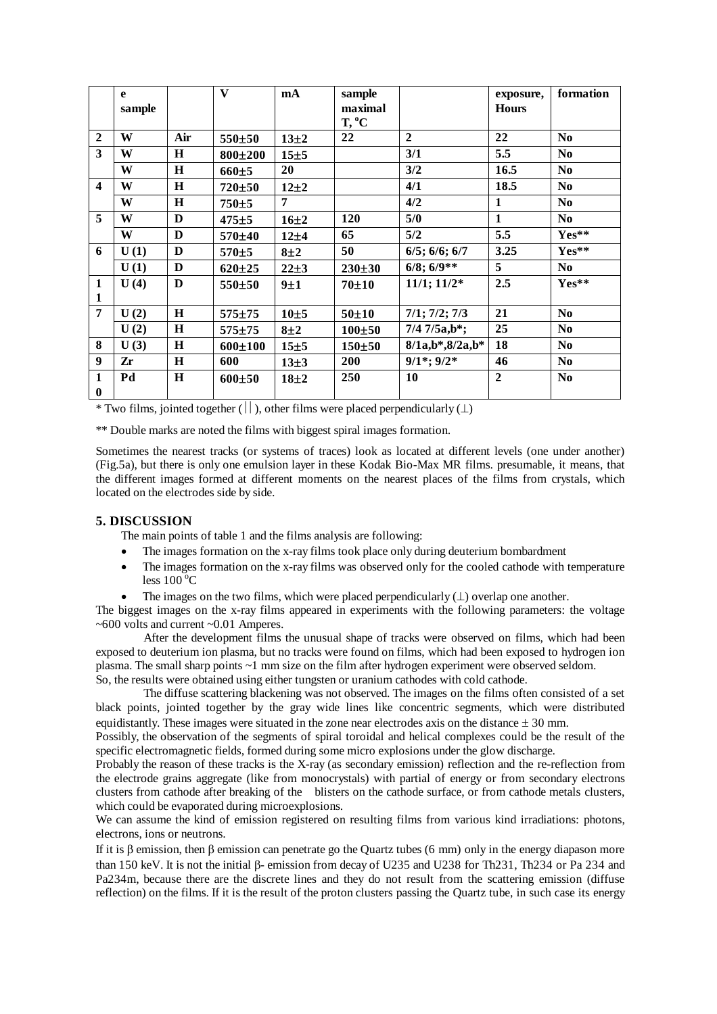|                         | e      |         | $\mathbf{V}$ | mA       | sample           |                       | exposure,      | formation      |
|-------------------------|--------|---------|--------------|----------|------------------|-----------------------|----------------|----------------|
|                         | sample |         |              |          | maximal          |                       | <b>Hours</b>   |                |
|                         |        |         |              |          | $T, {}^{\circ}C$ |                       |                |                |
| $\mathbf{2}$            | W      | Air     | 550±50       | $13\pm2$ | 22               | $\overline{2}$        | 22             | N <sub>0</sub> |
| 3                       | W      | H       | 800±200      | 15±5     |                  | 3/1                   | 5.5            | N <sub>0</sub> |
|                         | W      | H       | 660±5        | 20       |                  | 3/2                   | 16.5           | N <sub>0</sub> |
| $\overline{\mathbf{4}}$ | W      | $\bf H$ | 720±50       | $12\pm2$ |                  | 4/1                   | 18.5           | N <sub>0</sub> |
|                         | W      | H       | 750±5        | 7        |                  | 4/2                   | 1              | N <sub>0</sub> |
| 5                       | W      | D       | $475 + 5$    | $16\pm2$ | <b>120</b>       | 5/0                   | $\mathbf{1}$   | N <sub>0</sub> |
|                         | W      | D       | 570±40       | 12±4     | 65               | 5/2                   | 5.5            | Yes**          |
| 6                       | U(1)   | D       | 570±5        | $8\pm2$  | 50               | $6/5$ ; $6/6$ ; $6/7$ | 3.25           | Yes**          |
|                         | U(1)   | D       | $620 \pm 25$ | $22\pm3$ | $230 \pm 30$     | $6/8$ ; $6/9**$       | 5              | No.            |
| $\mathbf{1}$            | U(4)   | D       | 550±50       | 9±1      | $70 + 10$        | $11/1$ ; $11/2^*$     | 2.5            | Yes**          |
| $\mathbf{1}$            |        |         |              |          |                  |                       |                |                |
| $\overline{7}$          | U(2)   | $\bf H$ | 575±75       | 10±5     | $50 + 10$        | $7/1$ ; $7/2$ ; $7/3$ | 21             | N <sub>0</sub> |
|                         | U(2)   | H       | 575±75       | 8±2      | $100 + 50$       | $7/47/5a,b^*;$        | 25             | N <sub>0</sub> |
| 8                       | U(3)   | H       | 600±100      | 15±5     | 150±50           | $8/1a,b*,8/2a,b*$     | 18             | N <sub>0</sub> |
| $\boldsymbol{9}$        | Zr     | H       | 600          | 13±3     | <b>200</b>       | $9/1$ *; $9/2$ *      | 46             | N <sub>0</sub> |
| $\mathbf{1}$            | Pd     | H       | 600±50       | $18\pm2$ | 250              | 10                    | $\overline{2}$ | N <sub>0</sub> |
| $\bf{0}$                |        |         |              |          |                  |                       |                |                |

\* Two films, jointed together ( $\vert \vert$ ), other films were placed perpendicularly ( $\bot$ )

\*\* Double marks are noted the films with biggest spiral images formation.

Sometimes the nearest tracks (or systems of traces) look as located at different levels (one under another) (Fig.5a), but there is only one emulsion layer in these Kodak Bio-Max MR films. presumable, it means, that the different images formed at different moments on the nearest places of the films from crystals, which located on the electrodes side by side.

## **5. DISCUSSION**

The main points of table 1 and the films analysis are following:

- The images formation on the x-ray films took place only during deuterium bombardment
- The images formation on the x-ray films was observed only for the cooled cathode with temperature less  $100^{\circ}$ C
- The images on the two films, which were placed perpendicularly  $(\perp)$  overlap one another.

The biggest images on the x-ray films appeared in experiments with the following parameters: the voltage ~600 volts and current ~0.01 Amperes.

After the development films the unusual shape of tracks were observed on films, which had been exposed to deuterium ion plasma, but no tracks were found on films, which had been exposed to hydrogen ion plasma. The small sharp points ~1 mm size on the film after hydrogen experiment were observed seldom. So, the results were obtained using either tungsten or uranium cathodes with cold cathode.

The diffuse scattering blackening was not observed. The images on the films often consisted of a set black points, jointed together by the gray wide lines like concentric segments, which were distributed equidistantly. These images were situated in the zone near electrodes axis on the distance  $\pm 30$  mm.

Possibly, the observation of the segments of spiral toroidal and helical complexes could be the result of the specific electromagnetic fields, formed during some micro explosions under the glow discharge.

Probably the reason of these tracks is the X-ray (as secondary emission) reflection and the re-reflection from the electrode grains aggregate (like from monocrystals) with partial of energy or from secondary electrons clusters from cathode after breaking of the blisters on the cathode surface, or from cathode metals clusters, which could be evaporated during microexplosions.

We can assume the kind of emission registered on resulting films from various kind irradiations: photons, electrons, ions or neutrons.

If it is  $\beta$  emission, then  $\beta$  emission can penetrate go the Quartz tubes (6 mm) only in the energy diapason more than 150 keV. It is not the initial  $\beta$ - emission from decay of U235 and U238 for Th231, Th234 or Pa 234 and Pa234m, because there are the discrete lines and they do not result from the scattering emission (diffuse reflection) on the films. If it is the result of the proton clusters passing the Quartz tube, in such case its energy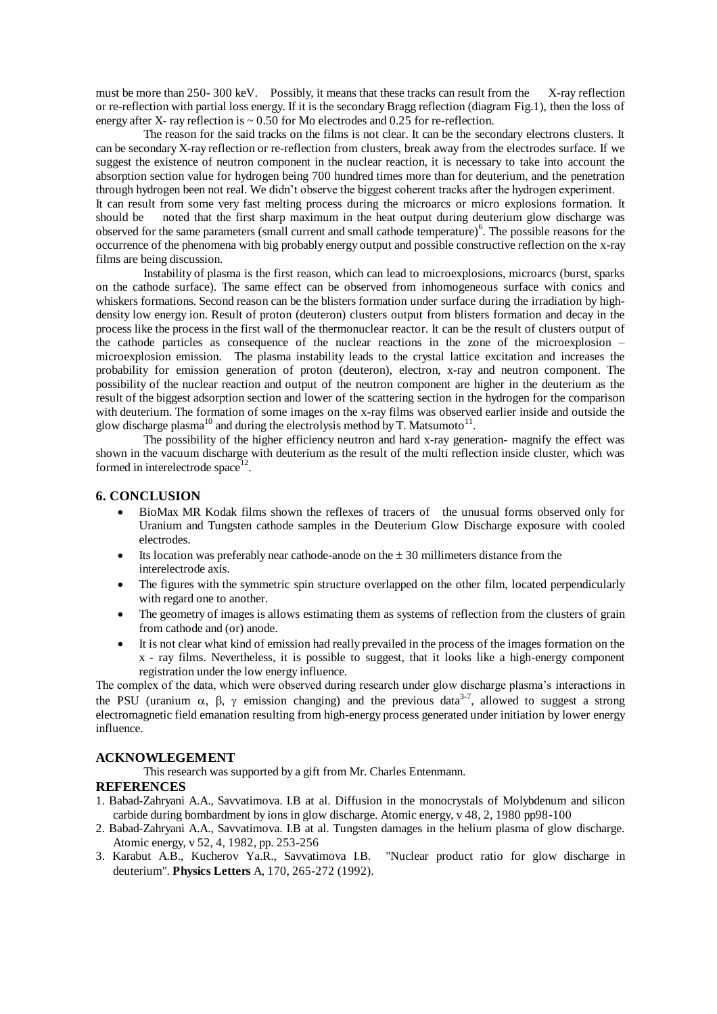must be more than 250- 300 keV. Possibly, it means that these tracks can result from the X-ray reflection or re-reflection with partial loss energy. If it is the secondary Bragg reflection (diagram Fig.1), then the loss of energy after X- ray reflection is  $\sim 0.50$  for Mo electrodes and 0.25 for re-reflection.

The reason for the said tracks on the films is not clear. It can be the secondary electrons clusters. It can be secondary X-ray reflection or re-reflection from clusters, break away from the electrodes surface. If we suggest the existence of neutron component in the nuclear reaction, it is necessary to take into account the absorption section value for hydrogen being 700 hundred times more than for deuterium, and the penetration through hydrogen been not real. We didn't observe the biggest coherent tracks after the hydrogen experiment. It can result from some very fast melting process during the microarcs or micro explosions formation. It should be noted that the first sharp maximum in the heat output during deuterium glow discharge was observed for the same parameters (small current and small cathode temperature)<sup>6</sup>. The possible reasons for the occurrence of the phenomena with big probably energy output and possible constructive reflection on the x-ray films are being discussion.

Instability of plasma is the first reason, which can lead to microexplosions, microarcs (burst, sparks on the cathode surface). The same effect can be observed from inhomogeneous surface with conics and whiskers formations. Second reason can be the blisters formation under surface during the irradiation by highdensity low energy ion. Result of proton (deuteron) clusters output from blisters formation and decay in the process like the process in the first wall of the thermonuclear reactor. It can be the result of clusters output of the cathode particles as consequence of the nuclear reactions in the zone of the microexplosion – microexplosion emission. The plasma instability leads to the crystal lattice excitation and increases the probability for emission generation of proton (deuteron), electron, x-ray and neutron component. The possibility of the nuclear reaction and output of the neutron component are higher in the deuterium as the result of the biggest adsorption section and lower of the scattering section in the hydrogen for the comparison with deuterium. The formation of some images on the x-ray films was observed earlier inside and outside the glow discharge plasma<sup>10</sup> and during the electrolysis method by T. Matsumoto<sup>11</sup>.

The possibility of the higher efficiency neutron and hard x-ray generation- magnify the effect was shown in the vacuum discharge with deuterium as the result of the multi reflection inside cluster, which was formed in interelectrode space $12$ .

# **6. CONCLUSION**

- BioMax MR Kodak films shown the reflexes of tracers of the unusual forms observed only for Uranium and Tungsten cathode samples in the Deuterium Glow Discharge exposure with cooled electrodes.
- Its location was preferably near cathode-anode on the  $\pm$  30 millimeters distance from the interelectrode axis.
- The figures with the symmetric spin structure overlapped on the other film, located perpendicularly with regard one to another.
- The geometry of images is allows estimating them as systems of reflection from the clusters of grain from cathode and (or) anode.
- It is not clear what kind of emission had really prevailed in the process of the images formation on the x - ray films. Nevertheless, it is possible to suggest, that it looks like a high-energy component registration under the low energy influence.

The complex of the data, which were observed during research under glow discharge plasma's interactions in the PSU (uranium  $\alpha$ ,  $\beta$ ,  $\gamma$  emission changing) and the previous data<sup>3-7</sup>, allowed to suggest a strong electromagnetic field emanation resulting from high-energy process generated under initiation by lower energy influence.

#### **ACKNOWLEGEMENT**

This research was supported by a gift from Mr. Charles Entenmann.

#### **REFERENCES**

- 1. Babad-Zahryani A.A., Savvatimova. I.B at al. Diffusion in the monocrystals of Molybdenum and silicon carbide during bombardment by ions in glow discharge. Atomic energy, v 48, 2, 1980 pp98-100
- 2. Babad-Zahryani A.A., Savvatimova. I.B at al. Tungsten damages in the helium plasma of glow discharge. Atomic energy, v 52, 4, 1982, pp. 253-256
- 3. Karabut A.B., Kucherov Ya.R., Savvatimova I.B. "Nuclear product ratio for glow discharge in deuterium". **Physics Letters** A, 170, 265-272 (1992).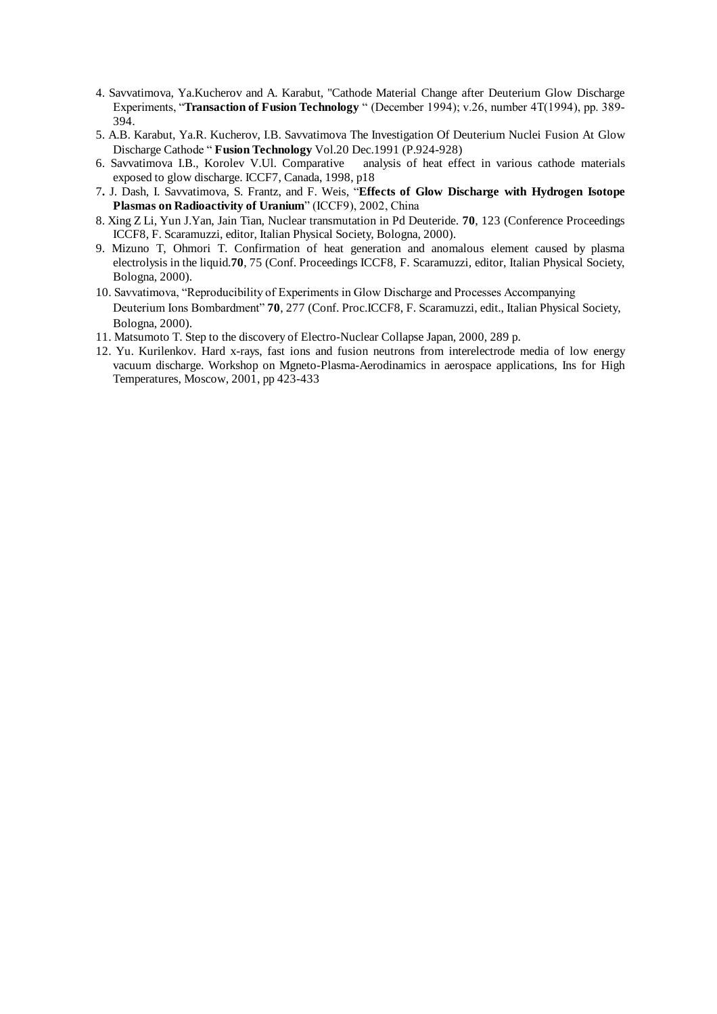- 4. Savvatimova, Ya.Kucherov and A. Karabut, "Cathode Material Change after Deuterium Glow Discharge Experiments, "**Transaction of Fusion Technology** " (December 1994); v.26, number 4T(1994), pp. 389-394.
- 5. A.B. Karabut, Ya.R. Kucherov, I.B. Savvatimova The Investigation Of Deuterium Nuclei Fusion At Glow Discharge Cathode"**Fusion Technology** Vol.20 Dec.1991 (P.924-928)
- 6. Savvatimova I.B., Korolev V.Ul. Comparative analysis of heat effect in various cathode materials exposed to glow discharge. ICCF7, Canada, 1998, p18
- 7**.** J. Dash, I. Savvatimova, S. Frantz, and F. Weis, "**Effects of Glow Discharge with Hydrogen Isotope** Plasmas on Radioactivity of Uranium" (ICCF9), 2002, China
- 8. Xing Z Li, Yun J.Yan, Jain Tian, Nuclear transmutation in Pd Deuteride. **70**, 123 (Conference Proceedings ICCF8, F. Scaramuzzi, editor, Italian Physical Society, Bologna, 2000).
- 9. Mizuno T, Ohmori T. Confirmation of heat generation and anomalous element caused by plasma electrolysis in the liquid.**70**, 75 (Conf. Proceedings ICCF8, F. Scaramuzzi, editor, Italian Physical Society, Bologna, 2000).
- 10. Savvatimova, "Reproducibility of Experiments in Glow Discharge and Processes Accompanying Deuterium Ions Bombardment" **70**, 277 (Conf. Proc.ICCF8, F. Scaramuzzi, edit., Italian Physical Society, Bologna, 2000).
- 11. Matsumoto T. Step to the discovery of Electro-Nuclear Collapse Japan, 2000, 289 p.
- 12. Yu. Kurilenkov. Hard x-rays, fast ions and fusion neutrons from interelectrode media of low energy vacuum discharge. Workshop on Mgneto-Plasma-Aerodinamics in aerospace applications, Ins for High Temperatures, Moscow, 2001, pp 423-433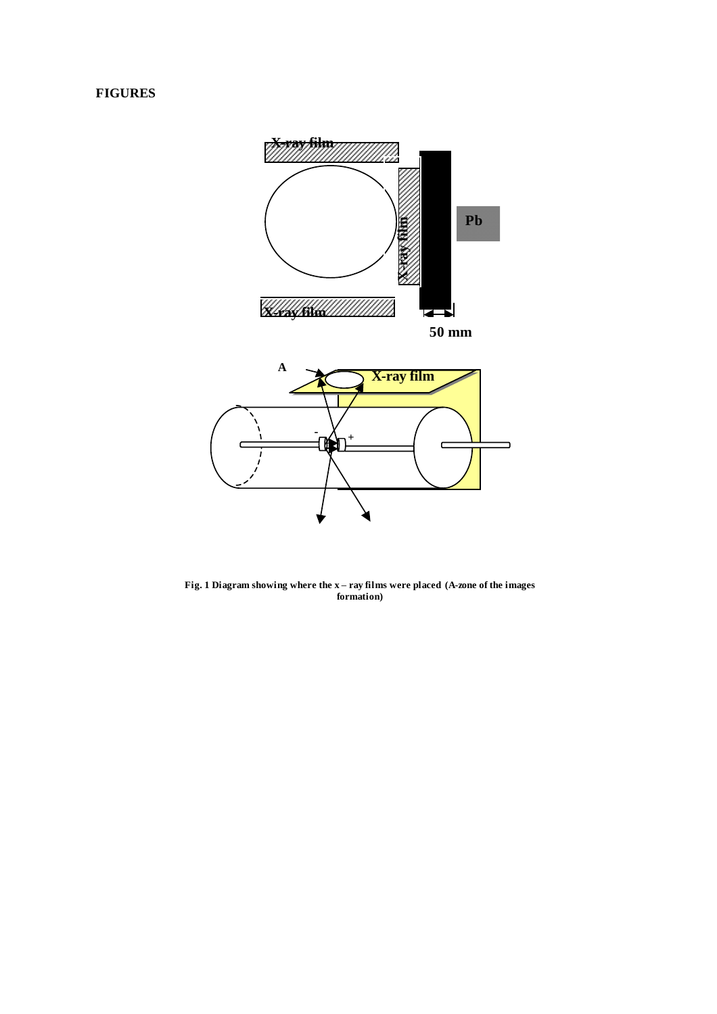# **FIGURES**



**Fig. 1 Diagram showing where the x –ray films were placed (A-zone of the images formation)**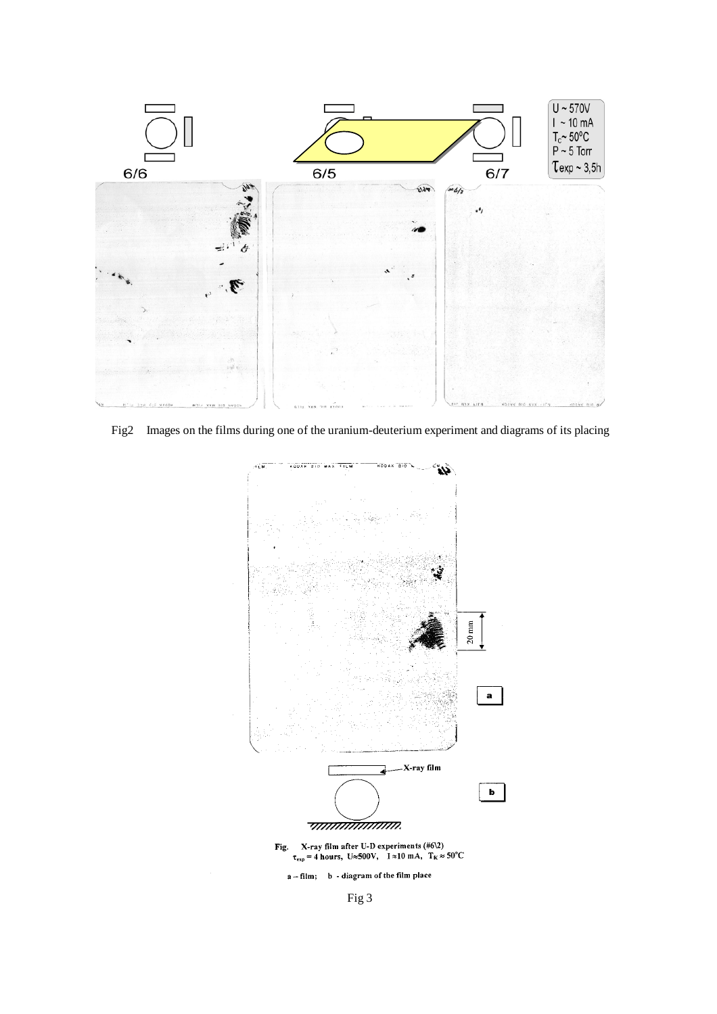

Fig2 Images on the films during one of the uranium-deuterium experiment and diagrams of its placing



Fig 3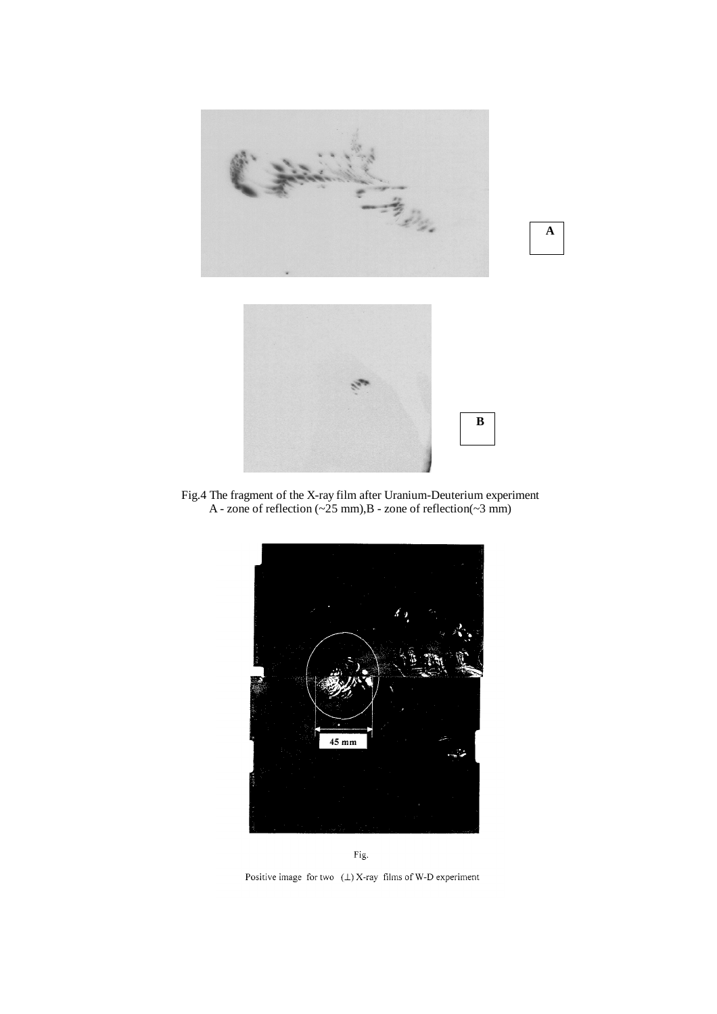

Fig.4 The fragment of the X-ray film after Uranium-Deuterium experiment A - zone of reflection  $(\sim 25 \text{ mm})$ , B - zone of reflection $(\sim 3 \text{ mm})$ 





Positive image for two  $(1)$  X-ray films of W-D experiment

**A**